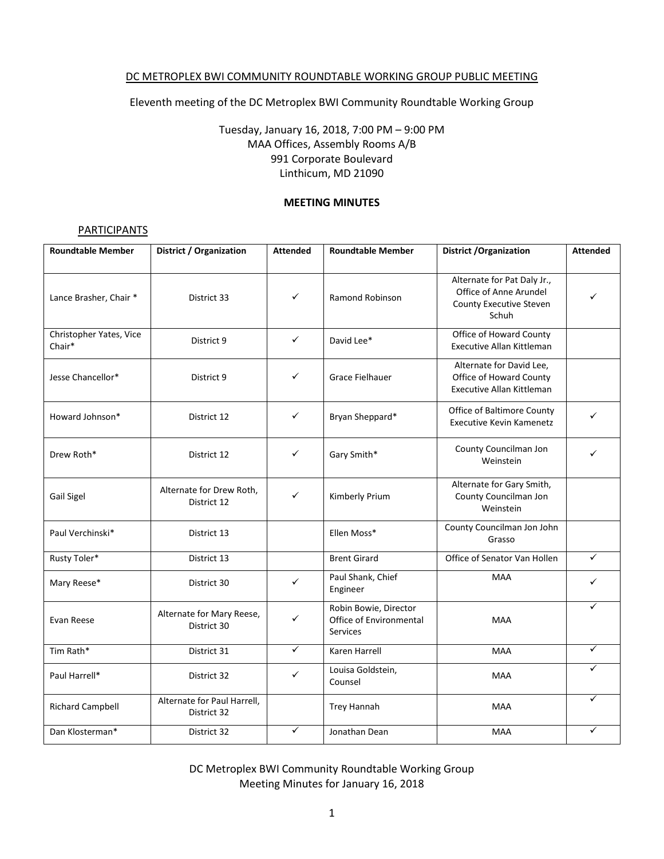### DC METROPLEX BWI COMMUNITY ROUNDTABLE WORKING GROUP PUBLIC MEETING

Eleventh meeting of the DC Metroplex BWI Community Roundtable Working Group

Tuesday, January 16, 2018, 7:00 PM – 9:00 PM MAA Offices, Assembly Rooms A/B 991 Corporate Boulevard Linthicum, MD 21090

#### **MEETING MINUTES**

#### **PARTICIPANTS**

| <b>Roundtable Member</b>          | District / Organization                    | <b>Attended</b> | <b>Roundtable Member</b>                                     | <b>District / Organization</b>                                                            | <b>Attended</b> |
|-----------------------------------|--------------------------------------------|-----------------|--------------------------------------------------------------|-------------------------------------------------------------------------------------------|-----------------|
| Lance Brasher, Chair *            | District 33                                | ✓               | <b>Ramond Robinson</b>                                       | Alternate for Pat Daly Jr.,<br>Office of Anne Arundel<br>County Executive Steven<br>Schuh |                 |
| Christopher Yates, Vice<br>Chair* | District 9                                 | ✓               | David Lee*                                                   | Office of Howard County<br>Executive Allan Kittleman                                      |                 |
| Jesse Chancellor*                 | District 9                                 | ✓               | Grace Fielhauer                                              | Alternate for David Lee,<br>Office of Howard County<br><b>Executive Allan Kittleman</b>   |                 |
| Howard Johnson*                   | District 12                                | ✓               | Bryan Sheppard*                                              | Office of Baltimore County<br><b>Executive Kevin Kamenetz</b>                             | ✓               |
| Drew Roth*                        | District 12                                | ✓               | Gary Smith*                                                  | County Councilman Jon<br>Weinstein                                                        | ✓               |
| Gail Sigel                        | Alternate for Drew Roth,<br>District 12    | ✓               | Kimberly Prium                                               | Alternate for Gary Smith,<br>County Councilman Jon<br>Weinstein                           |                 |
| Paul Verchinski*                  | District 13                                |                 | Ellen Moss*                                                  | County Councilman Jon John<br>Grasso                                                      |                 |
| Rusty Toler*                      | District 13                                |                 | <b>Brent Girard</b>                                          | Office of Senator Van Hollen                                                              | ✓               |
| Mary Reese*                       | District 30                                | ✓               | Paul Shank, Chief<br>Engineer                                | <b>MAA</b>                                                                                | ✓               |
| Evan Reese                        | Alternate for Mary Reese,<br>District 30   | ✓               | Robin Bowie, Director<br>Office of Environmental<br>Services | <b>MAA</b>                                                                                | ✓               |
| Tim Rath*                         | District 31                                | $\checkmark$    | Karen Harrell                                                | <b>MAA</b>                                                                                | ✓               |
| Paul Harrell*                     | District 32                                | ✓               | Louisa Goldstein,<br>Counsel                                 | <b>MAA</b>                                                                                | ✓               |
| <b>Richard Campbell</b>           | Alternate for Paul Harrell,<br>District 32 |                 | Trey Hannah                                                  | MAA                                                                                       | ✓               |
| Dan Klosterman*                   | District 32                                | ✓               | Jonathan Dean                                                | MAA                                                                                       | ✓               |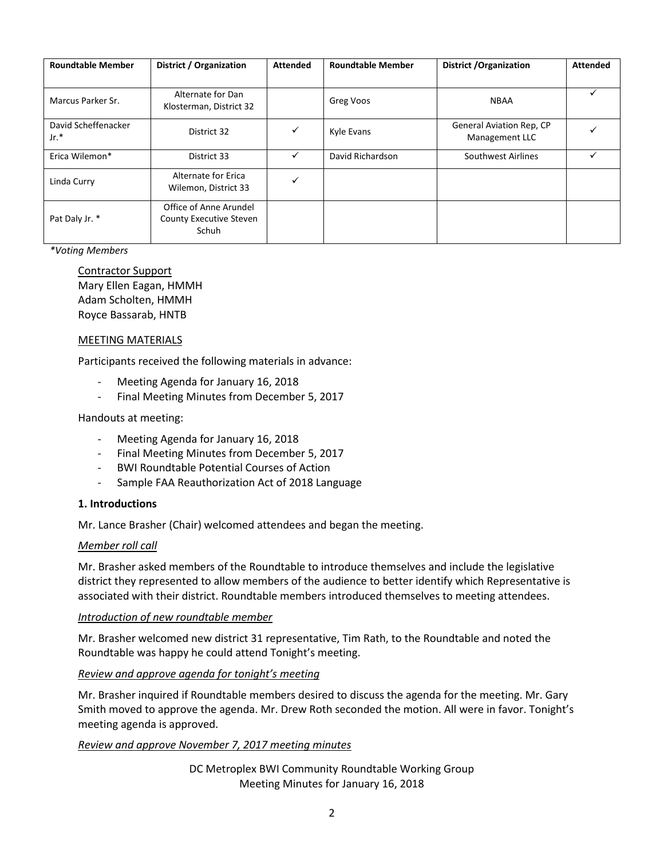| <b>Roundtable Member</b>      | District / Organization                                    | <b>Attended</b> | <b>Roundtable Member</b> | <b>District / Organization</b>             | <b>Attended</b> |
|-------------------------------|------------------------------------------------------------|-----------------|--------------------------|--------------------------------------------|-----------------|
|                               |                                                            |                 |                          |                                            |                 |
| Marcus Parker Sr.             | Alternate for Dan<br>Klosterman, District 32               |                 | Greg Voos                | <b>NBAA</b>                                |                 |
| David Scheffenacker<br>$Jr.*$ | District 32                                                | $\checkmark$    | Kyle Evans               | General Aviation Rep, CP<br>Management LLC |                 |
| Erica Wilemon*                | District 33                                                | ✓               | David Richardson         | Southwest Airlines                         |                 |
| Linda Curry                   | Alternate for Erica<br>Wilemon, District 33                | $\checkmark$    |                          |                                            |                 |
| Pat Daly Jr. *                | Office of Anne Arundel<br>County Executive Steven<br>Schuh |                 |                          |                                            |                 |

*\*Voting Members*

Contractor Support Mary Ellen Eagan, HMMH Adam Scholten, HMMH Royce Bassarab, HNTB

### MEETING MATERIALS

Participants received the following materials in advance:

- Meeting Agenda for January 16, 2018
- Final Meeting Minutes from December 5, 2017

### Handouts at meeting:

- Meeting Agenda for January 16, 2018
- Final Meeting Minutes from December 5, 2017
- BWI Roundtable Potential Courses of Action
- Sample FAA Reauthorization Act of 2018 Language

#### **1. Introductions**

Mr. Lance Brasher (Chair) welcomed attendees and began the meeting.

#### *Member roll call*

Mr. Brasher asked members of the Roundtable to introduce themselves and include the legislative district they represented to allow members of the audience to better identify which Representative is associated with their district. Roundtable members introduced themselves to meeting attendees.

#### *Introduction of new roundtable member*

Mr. Brasher welcomed new district 31 representative, Tim Rath, to the Roundtable and noted the Roundtable was happy he could attend Tonight's meeting.

#### *Review and approve agenda for tonight's meeting*

Mr. Brasher inquired if Roundtable members desired to discuss the agenda for the meeting. Mr. Gary Smith moved to approve the agenda. Mr. Drew Roth seconded the motion. All were in favor. Tonight's meeting agenda is approved.

### *Review and approve November 7, 2017 meeting minutes*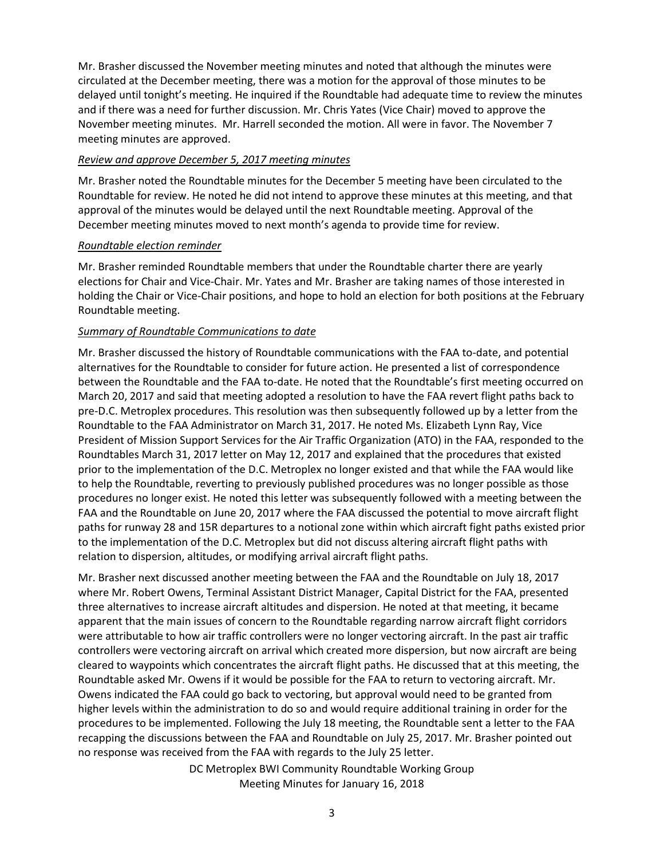Mr. Brasher discussed the November meeting minutes and noted that although the minutes were circulated at the December meeting, there was a motion for the approval of those minutes to be delayed until tonight's meeting. He inquired if the Roundtable had adequate time to review the minutes and if there was a need for further discussion. Mr. Chris Yates (Vice Chair) moved to approve the November meeting minutes. Mr. Harrell seconded the motion. All were in favor. The November 7 meeting minutes are approved.

### *Review and approve December 5, 2017 meeting minutes*

Mr. Brasher noted the Roundtable minutes for the December 5 meeting have been circulated to the Roundtable for review. He noted he did not intend to approve these minutes at this meeting, and that approval of the minutes would be delayed until the next Roundtable meeting. Approval of the December meeting minutes moved to next month's agenda to provide time for review.

### *Roundtable election reminder*

Mr. Brasher reminded Roundtable members that under the Roundtable charter there are yearly elections for Chair and Vice-Chair. Mr. Yates and Mr. Brasher are taking names of those interested in holding the Chair or Vice-Chair positions, and hope to hold an election for both positions at the February Roundtable meeting.

### *Summary of Roundtable Communications to date*

Mr. Brasher discussed the history of Roundtable communications with the FAA to-date, and potential alternatives for the Roundtable to consider for future action. He presented a list of correspondence between the Roundtable and the FAA to-date. He noted that the Roundtable's first meeting occurred on March 20, 2017 and said that meeting adopted a resolution to have the FAA revert flight paths back to pre-D.C. Metroplex procedures. This resolution was then subsequently followed up by a letter from the Roundtable to the FAA Administrator on March 31, 2017. He noted Ms. Elizabeth Lynn Ray, Vice President of Mission Support Services for the Air Traffic Organization (ATO) in the FAA, responded to the Roundtables March 31, 2017 letter on May 12, 2017 and explained that the procedures that existed prior to the implementation of the D.C. Metroplex no longer existed and that while the FAA would like to help the Roundtable, reverting to previously published procedures was no longer possible as those procedures no longer exist. He noted this letter was subsequently followed with a meeting between the FAA and the Roundtable on June 20, 2017 where the FAA discussed the potential to move aircraft flight paths for runway 28 and 15R departures to a notional zone within which aircraft fight paths existed prior to the implementation of the D.C. Metroplex but did not discuss altering aircraft flight paths with relation to dispersion, altitudes, or modifying arrival aircraft flight paths.

Mr. Brasher next discussed another meeting between the FAA and the Roundtable on July 18, 2017 where Mr. Robert Owens, Terminal Assistant District Manager, Capital District for the FAA, presented three alternatives to increase aircraft altitudes and dispersion. He noted at that meeting, it became apparent that the main issues of concern to the Roundtable regarding narrow aircraft flight corridors were attributable to how air traffic controllers were no longer vectoring aircraft. In the past air traffic controllers were vectoring aircraft on arrival which created more dispersion, but now aircraft are being cleared to waypoints which concentrates the aircraft flight paths. He discussed that at this meeting, the Roundtable asked Mr. Owens if it would be possible for the FAA to return to vectoring aircraft. Mr. Owens indicated the FAA could go back to vectoring, but approval would need to be granted from higher levels within the administration to do so and would require additional training in order for the procedures to be implemented. Following the July 18 meeting, the Roundtable sent a letter to the FAA recapping the discussions between the FAA and Roundtable on July 25, 2017. Mr. Brasher pointed out no response was received from the FAA with regards to the July 25 letter.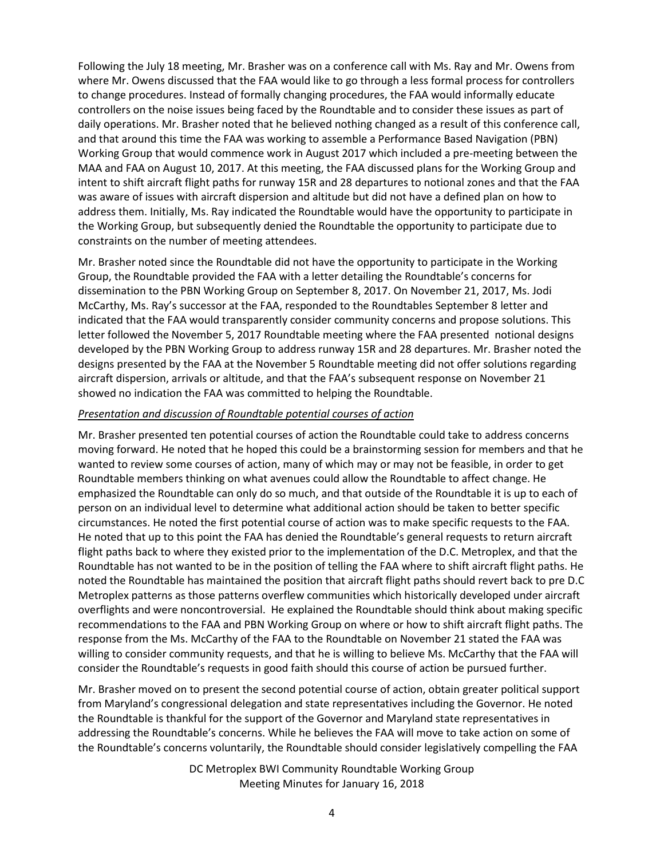Following the July 18 meeting, Mr. Brasher was on a conference call with Ms. Ray and Mr. Owens from where Mr. Owens discussed that the FAA would like to go through a less formal process for controllers to change procedures. Instead of formally changing procedures, the FAA would informally educate controllers on the noise issues being faced by the Roundtable and to consider these issues as part of daily operations. Mr. Brasher noted that he believed nothing changed as a result of this conference call, and that around this time the FAA was working to assemble a Performance Based Navigation (PBN) Working Group that would commence work in August 2017 which included a pre-meeting between the MAA and FAA on August 10, 2017. At this meeting, the FAA discussed plans for the Working Group and intent to shift aircraft flight paths for runway 15R and 28 departures to notional zones and that the FAA was aware of issues with aircraft dispersion and altitude but did not have a defined plan on how to address them. Initially, Ms. Ray indicated the Roundtable would have the opportunity to participate in the Working Group, but subsequently denied the Roundtable the opportunity to participate due to constraints on the number of meeting attendees.

Mr. Brasher noted since the Roundtable did not have the opportunity to participate in the Working Group, the Roundtable provided the FAA with a letter detailing the Roundtable's concerns for dissemination to the PBN Working Group on September 8, 2017. On November 21, 2017, Ms. Jodi McCarthy, Ms. Ray's successor at the FAA, responded to the Roundtables September 8 letter and indicated that the FAA would transparently consider community concerns and propose solutions. This letter followed the November 5, 2017 Roundtable meeting where the FAA presented notional designs developed by the PBN Working Group to address runway 15R and 28 departures. Mr. Brasher noted the designs presented by the FAA at the November 5 Roundtable meeting did not offer solutions regarding aircraft dispersion, arrivals or altitude, and that the FAA's subsequent response on November 21 showed no indication the FAA was committed to helping the Roundtable.

### *Presentation and discussion of Roundtable potential courses of action*

Mr. Brasher presented ten potential courses of action the Roundtable could take to address concerns moving forward. He noted that he hoped this could be a brainstorming session for members and that he wanted to review some courses of action, many of which may or may not be feasible, in order to get Roundtable members thinking on what avenues could allow the Roundtable to affect change. He emphasized the Roundtable can only do so much, and that outside of the Roundtable it is up to each of person on an individual level to determine what additional action should be taken to better specific circumstances. He noted the first potential course of action was to make specific requests to the FAA. He noted that up to this point the FAA has denied the Roundtable's general requests to return aircraft flight paths back to where they existed prior to the implementation of the D.C. Metroplex, and that the Roundtable has not wanted to be in the position of telling the FAA where to shift aircraft flight paths. He noted the Roundtable has maintained the position that aircraft flight paths should revert back to pre D.C Metroplex patterns as those patterns overflew communities which historically developed under aircraft overflights and were noncontroversial. He explained the Roundtable should think about making specific recommendations to the FAA and PBN Working Group on where or how to shift aircraft flight paths. The response from the Ms. McCarthy of the FAA to the Roundtable on November 21 stated the FAA was willing to consider community requests, and that he is willing to believe Ms. McCarthy that the FAA will consider the Roundtable's requests in good faith should this course of action be pursued further.

Mr. Brasher moved on to present the second potential course of action, obtain greater political support from Maryland's congressional delegation and state representatives including the Governor. He noted the Roundtable is thankful for the support of the Governor and Maryland state representatives in addressing the Roundtable's concerns. While he believes the FAA will move to take action on some of the Roundtable's concerns voluntarily, the Roundtable should consider legislatively compelling the FAA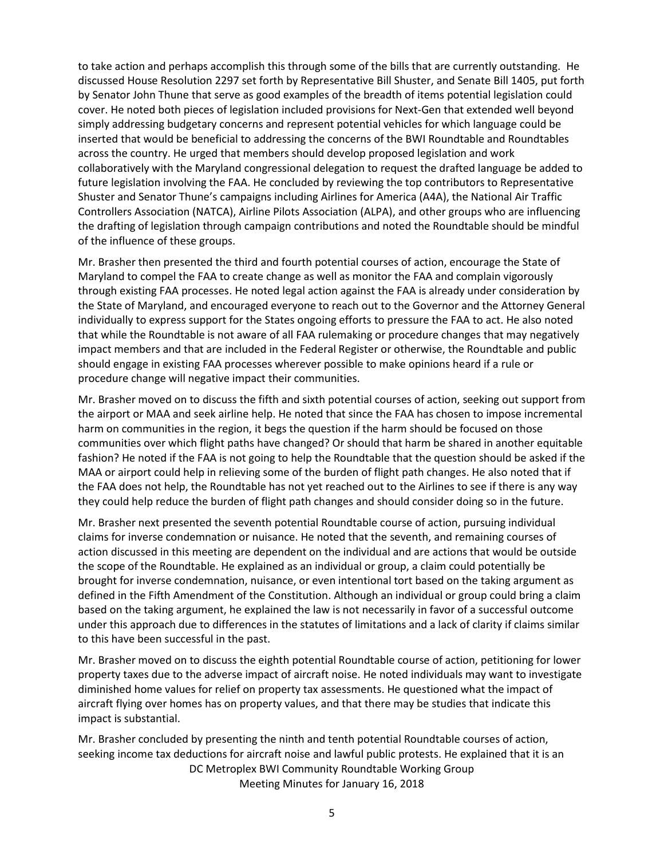to take action and perhaps accomplish this through some of the bills that are currently outstanding. He discussed House Resolution 2297 set forth by Representative Bill Shuster, and Senate Bill 1405, put forth by Senator John Thune that serve as good examples of the breadth of items potential legislation could cover. He noted both pieces of legislation included provisions for Next-Gen that extended well beyond simply addressing budgetary concerns and represent potential vehicles for which language could be inserted that would be beneficial to addressing the concerns of the BWI Roundtable and Roundtables across the country. He urged that members should develop proposed legislation and work collaboratively with the Maryland congressional delegation to request the drafted language be added to future legislation involving the FAA. He concluded by reviewing the top contributors to Representative Shuster and Senator Thune's campaigns including Airlines for America (A4A), the National Air Traffic Controllers Association (NATCA), Airline Pilots Association (ALPA), and other groups who are influencing the drafting of legislation through campaign contributions and noted the Roundtable should be mindful of the influence of these groups.

Mr. Brasher then presented the third and fourth potential courses of action, encourage the State of Maryland to compel the FAA to create change as well as monitor the FAA and complain vigorously through existing FAA processes. He noted legal action against the FAA is already under consideration by the State of Maryland, and encouraged everyone to reach out to the Governor and the Attorney General individually to express support for the States ongoing efforts to pressure the FAA to act. He also noted that while the Roundtable is not aware of all FAA rulemaking or procedure changes that may negatively impact members and that are included in the Federal Register or otherwise, the Roundtable and public should engage in existing FAA processes wherever possible to make opinions heard if a rule or procedure change will negative impact their communities.

Mr. Brasher moved on to discuss the fifth and sixth potential courses of action, seeking out support from the airport or MAA and seek airline help. He noted that since the FAA has chosen to impose incremental harm on communities in the region, it begs the question if the harm should be focused on those communities over which flight paths have changed? Or should that harm be shared in another equitable fashion? He noted if the FAA is not going to help the Roundtable that the question should be asked if the MAA or airport could help in relieving some of the burden of flight path changes. He also noted that if the FAA does not help, the Roundtable has not yet reached out to the Airlines to see if there is any way they could help reduce the burden of flight path changes and should consider doing so in the future.

Mr. Brasher next presented the seventh potential Roundtable course of action, pursuing individual claims for inverse condemnation or nuisance. He noted that the seventh, and remaining courses of action discussed in this meeting are dependent on the individual and are actions that would be outside the scope of the Roundtable. He explained as an individual or group, a claim could potentially be brought for inverse condemnation, nuisance, or even intentional tort based on the taking argument as defined in the Fifth Amendment of the Constitution. Although an individual or group could bring a claim based on the taking argument, he explained the law is not necessarily in favor of a successful outcome under this approach due to differences in the statutes of limitations and a lack of clarity if claims similar to this have been successful in the past.

Mr. Brasher moved on to discuss the eighth potential Roundtable course of action, petitioning for lower property taxes due to the adverse impact of aircraft noise. He noted individuals may want to investigate diminished home values for relief on property tax assessments. He questioned what the impact of aircraft flying over homes has on property values, and that there may be studies that indicate this impact is substantial.

DC Metroplex BWI Community Roundtable Working Group Meeting Minutes for January 16, 2018 Mr. Brasher concluded by presenting the ninth and tenth potential Roundtable courses of action, seeking income tax deductions for aircraft noise and lawful public protests. He explained that it is an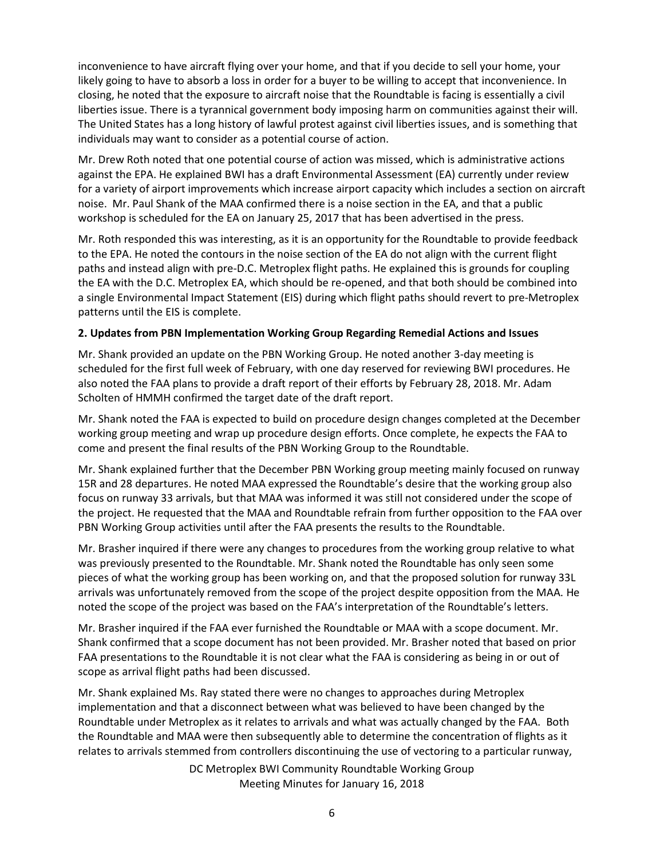inconvenience to have aircraft flying over your home, and that if you decide to sell your home, your likely going to have to absorb a loss in order for a buyer to be willing to accept that inconvenience. In closing, he noted that the exposure to aircraft noise that the Roundtable is facing is essentially a civil liberties issue. There is a tyrannical government body imposing harm on communities against their will. The United States has a long history of lawful protest against civil liberties issues, and is something that individuals may want to consider as a potential course of action.

Mr. Drew Roth noted that one potential course of action was missed, which is administrative actions against the EPA. He explained BWI has a draft Environmental Assessment (EA) currently under review for a variety of airport improvements which increase airport capacity which includes a section on aircraft noise. Mr. Paul Shank of the MAA confirmed there is a noise section in the EA, and that a public workshop is scheduled for the EA on January 25, 2017 that has been advertised in the press.

Mr. Roth responded this was interesting, as it is an opportunity for the Roundtable to provide feedback to the EPA. He noted the contours in the noise section of the EA do not align with the current flight paths and instead align with pre-D.C. Metroplex flight paths. He explained this is grounds for coupling the EA with the D.C. Metroplex EA, which should be re-opened, and that both should be combined into a single Environmental Impact Statement (EIS) during which flight paths should revert to pre-Metroplex patterns until the EIS is complete.

### **2. Updates from PBN Implementation Working Group Regarding Remedial Actions and Issues**

Mr. Shank provided an update on the PBN Working Group. He noted another 3-day meeting is scheduled for the first full week of February, with one day reserved for reviewing BWI procedures. He also noted the FAA plans to provide a draft report of their efforts by February 28, 2018. Mr. Adam Scholten of HMMH confirmed the target date of the draft report.

Mr. Shank noted the FAA is expected to build on procedure design changes completed at the December working group meeting and wrap up procedure design efforts. Once complete, he expects the FAA to come and present the final results of the PBN Working Group to the Roundtable.

Mr. Shank explained further that the December PBN Working group meeting mainly focused on runway 15R and 28 departures. He noted MAA expressed the Roundtable's desire that the working group also focus on runway 33 arrivals, but that MAA was informed it was still not considered under the scope of the project. He requested that the MAA and Roundtable refrain from further opposition to the FAA over PBN Working Group activities until after the FAA presents the results to the Roundtable.

Mr. Brasher inquired if there were any changes to procedures from the working group relative to what was previously presented to the Roundtable. Mr. Shank noted the Roundtable has only seen some pieces of what the working group has been working on, and that the proposed solution for runway 33L arrivals was unfortunately removed from the scope of the project despite opposition from the MAA. He noted the scope of the project was based on the FAA's interpretation of the Roundtable's letters.

Mr. Brasher inquired if the FAA ever furnished the Roundtable or MAA with a scope document. Mr. Shank confirmed that a scope document has not been provided. Mr. Brasher noted that based on prior FAA presentations to the Roundtable it is not clear what the FAA is considering as being in or out of scope as arrival flight paths had been discussed.

Mr. Shank explained Ms. Ray stated there were no changes to approaches during Metroplex implementation and that a disconnect between what was believed to have been changed by the Roundtable under Metroplex as it relates to arrivals and what was actually changed by the FAA. Both the Roundtable and MAA were then subsequently able to determine the concentration of flights as it relates to arrivals stemmed from controllers discontinuing the use of vectoring to a particular runway,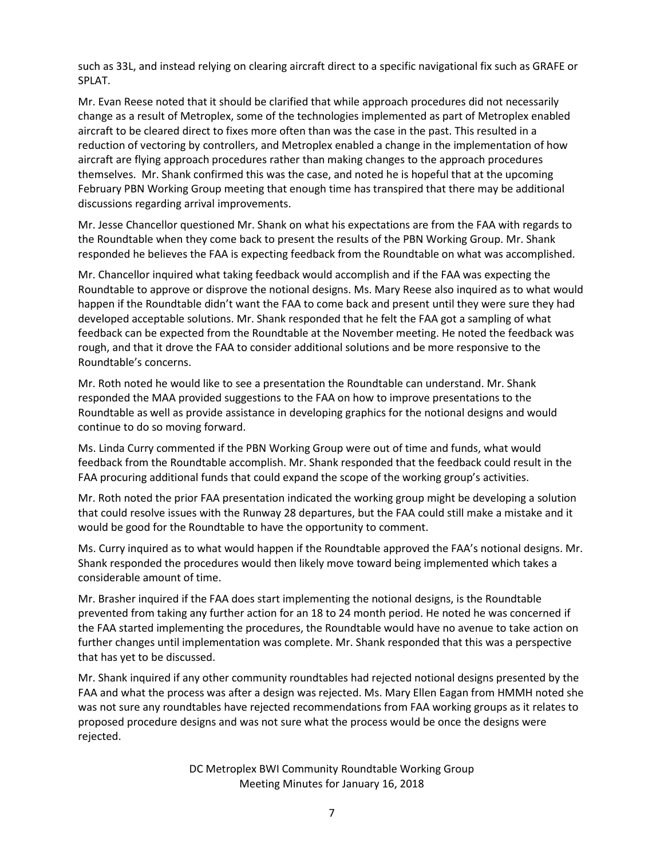such as 33L, and instead relying on clearing aircraft direct to a specific navigational fix such as GRAFE or SPLAT.

Mr. Evan Reese noted that it should be clarified that while approach procedures did not necessarily change as a result of Metroplex, some of the technologies implemented as part of Metroplex enabled aircraft to be cleared direct to fixes more often than was the case in the past. This resulted in a reduction of vectoring by controllers, and Metroplex enabled a change in the implementation of how aircraft are flying approach procedures rather than making changes to the approach procedures themselves. Mr. Shank confirmed this was the case, and noted he is hopeful that at the upcoming February PBN Working Group meeting that enough time has transpired that there may be additional discussions regarding arrival improvements.

Mr. Jesse Chancellor questioned Mr. Shank on what his expectations are from the FAA with regards to the Roundtable when they come back to present the results of the PBN Working Group. Mr. Shank responded he believes the FAA is expecting feedback from the Roundtable on what was accomplished.

Mr. Chancellor inquired what taking feedback would accomplish and if the FAA was expecting the Roundtable to approve or disprove the notional designs. Ms. Mary Reese also inquired as to what would happen if the Roundtable didn't want the FAA to come back and present until they were sure they had developed acceptable solutions. Mr. Shank responded that he felt the FAA got a sampling of what feedback can be expected from the Roundtable at the November meeting. He noted the feedback was rough, and that it drove the FAA to consider additional solutions and be more responsive to the Roundtable's concerns.

Mr. Roth noted he would like to see a presentation the Roundtable can understand. Mr. Shank responded the MAA provided suggestions to the FAA on how to improve presentations to the Roundtable as well as provide assistance in developing graphics for the notional designs and would continue to do so moving forward.

Ms. Linda Curry commented if the PBN Working Group were out of time and funds, what would feedback from the Roundtable accomplish. Mr. Shank responded that the feedback could result in the FAA procuring additional funds that could expand the scope of the working group's activities.

Mr. Roth noted the prior FAA presentation indicated the working group might be developing a solution that could resolve issues with the Runway 28 departures, but the FAA could still make a mistake and it would be good for the Roundtable to have the opportunity to comment.

Ms. Curry inquired as to what would happen if the Roundtable approved the FAA's notional designs. Mr. Shank responded the procedures would then likely move toward being implemented which takes a considerable amount of time.

Mr. Brasher inquired if the FAA does start implementing the notional designs, is the Roundtable prevented from taking any further action for an 18 to 24 month period. He noted he was concerned if the FAA started implementing the procedures, the Roundtable would have no avenue to take action on further changes until implementation was complete. Mr. Shank responded that this was a perspective that has yet to be discussed.

Mr. Shank inquired if any other community roundtables had rejected notional designs presented by the FAA and what the process was after a design was rejected. Ms. Mary Ellen Eagan from HMMH noted she was not sure any roundtables have rejected recommendations from FAA working groups as it relates to proposed procedure designs and was not sure what the process would be once the designs were rejected.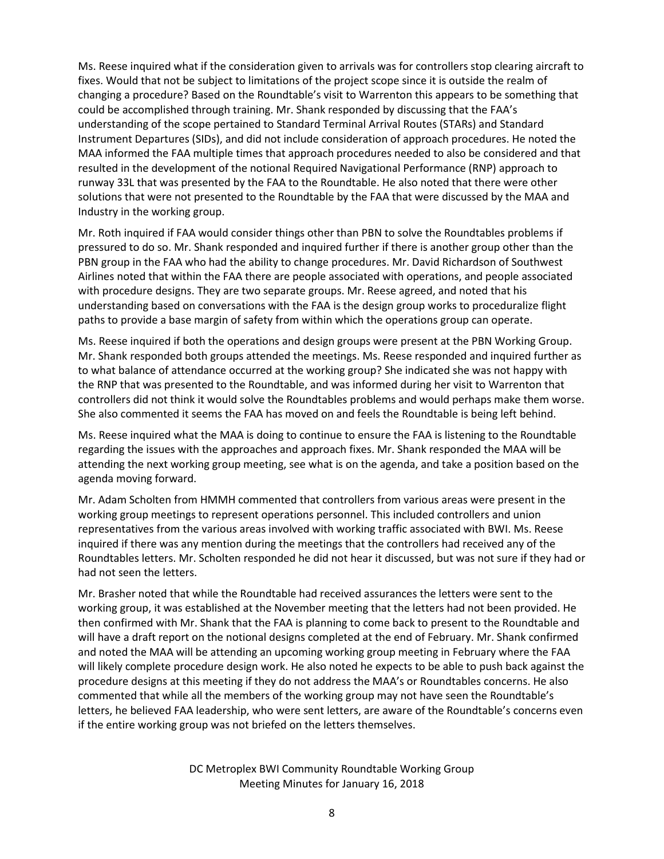Ms. Reese inquired what if the consideration given to arrivals was for controllers stop clearing aircraft to fixes. Would that not be subject to limitations of the project scope since it is outside the realm of changing a procedure? Based on the Roundtable's visit to Warrenton this appears to be something that could be accomplished through training. Mr. Shank responded by discussing that the FAA's understanding of the scope pertained to Standard Terminal Arrival Routes (STARs) and Standard Instrument Departures (SIDs), and did not include consideration of approach procedures. He noted the MAA informed the FAA multiple times that approach procedures needed to also be considered and that resulted in the development of the notional Required Navigational Performance (RNP) approach to runway 33L that was presented by the FAA to the Roundtable. He also noted that there were other solutions that were not presented to the Roundtable by the FAA that were discussed by the MAA and Industry in the working group.

Mr. Roth inquired if FAA would consider things other than PBN to solve the Roundtables problems if pressured to do so. Mr. Shank responded and inquired further if there is another group other than the PBN group in the FAA who had the ability to change procedures. Mr. David Richardson of Southwest Airlines noted that within the FAA there are people associated with operations, and people associated with procedure designs. They are two separate groups. Mr. Reese agreed, and noted that his understanding based on conversations with the FAA is the design group works to proceduralize flight paths to provide a base margin of safety from within which the operations group can operate.

Ms. Reese inquired if both the operations and design groups were present at the PBN Working Group. Mr. Shank responded both groups attended the meetings. Ms. Reese responded and inquired further as to what balance of attendance occurred at the working group? She indicated she was not happy with the RNP that was presented to the Roundtable, and was informed during her visit to Warrenton that controllers did not think it would solve the Roundtables problems and would perhaps make them worse. She also commented it seems the FAA has moved on and feels the Roundtable is being left behind.

Ms. Reese inquired what the MAA is doing to continue to ensure the FAA is listening to the Roundtable regarding the issues with the approaches and approach fixes. Mr. Shank responded the MAA will be attending the next working group meeting, see what is on the agenda, and take a position based on the agenda moving forward.

Mr. Adam Scholten from HMMH commented that controllers from various areas were present in the working group meetings to represent operations personnel. This included controllers and union representatives from the various areas involved with working traffic associated with BWI. Ms. Reese inquired if there was any mention during the meetings that the controllers had received any of the Roundtables letters. Mr. Scholten responded he did not hear it discussed, but was not sure if they had or had not seen the letters.

Mr. Brasher noted that while the Roundtable had received assurances the letters were sent to the working group, it was established at the November meeting that the letters had not been provided. He then confirmed with Mr. Shank that the FAA is planning to come back to present to the Roundtable and will have a draft report on the notional designs completed at the end of February. Mr. Shank confirmed and noted the MAA will be attending an upcoming working group meeting in February where the FAA will likely complete procedure design work. He also noted he expects to be able to push back against the procedure designs at this meeting if they do not address the MAA's or Roundtables concerns. He also commented that while all the members of the working group may not have seen the Roundtable's letters, he believed FAA leadership, who were sent letters, are aware of the Roundtable's concerns even if the entire working group was not briefed on the letters themselves.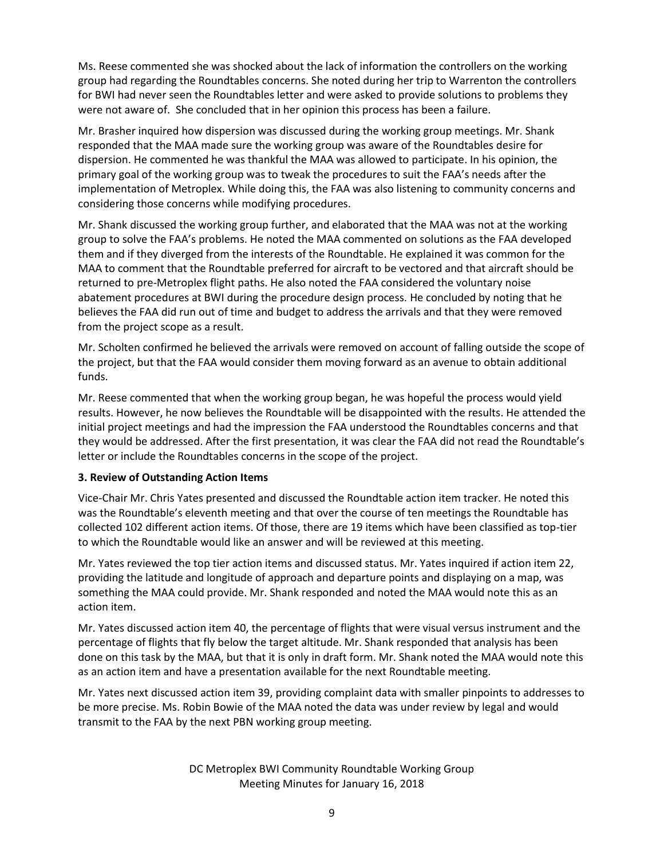Ms. Reese commented she was shocked about the lack of information the controllers on the working group had regarding the Roundtables concerns. She noted during her trip to Warrenton the controllers for BWI had never seen the Roundtables letter and were asked to provide solutions to problems they were not aware of. She concluded that in her opinion this process has been a failure.

Mr. Brasher inquired how dispersion was discussed during the working group meetings. Mr. Shank responded that the MAA made sure the working group was aware of the Roundtables desire for dispersion. He commented he was thankful the MAA was allowed to participate. In his opinion, the primary goal of the working group was to tweak the procedures to suit the FAA's needs after the implementation of Metroplex. While doing this, the FAA was also listening to community concerns and considering those concerns while modifying procedures.

Mr. Shank discussed the working group further, and elaborated that the MAA was not at the working group to solve the FAA's problems. He noted the MAA commented on solutions as the FAA developed them and if they diverged from the interests of the Roundtable. He explained it was common for the MAA to comment that the Roundtable preferred for aircraft to be vectored and that aircraft should be returned to pre-Metroplex flight paths. He also noted the FAA considered the voluntary noise abatement procedures at BWI during the procedure design process. He concluded by noting that he believes the FAA did run out of time and budget to address the arrivals and that they were removed from the project scope as a result.

Mr. Scholten confirmed he believed the arrivals were removed on account of falling outside the scope of the project, but that the FAA would consider them moving forward as an avenue to obtain additional funds.

Mr. Reese commented that when the working group began, he was hopeful the process would yield results. However, he now believes the Roundtable will be disappointed with the results. He attended the initial project meetings and had the impression the FAA understood the Roundtables concerns and that they would be addressed. After the first presentation, it was clear the FAA did not read the Roundtable's letter or include the Roundtables concerns in the scope of the project.

### **3. Review of Outstanding Action Items**

Vice-Chair Mr. Chris Yates presented and discussed the Roundtable action item tracker. He noted this was the Roundtable's eleventh meeting and that over the course of ten meetings the Roundtable has collected 102 different action items. Of those, there are 19 items which have been classified as top-tier to which the Roundtable would like an answer and will be reviewed at this meeting.

Mr. Yates reviewed the top tier action items and discussed status. Mr. Yates inquired if action item 22, providing the latitude and longitude of approach and departure points and displaying on a map, was something the MAA could provide. Mr. Shank responded and noted the MAA would note this as an action item.

Mr. Yates discussed action item 40, the percentage of flights that were visual versus instrument and the percentage of flights that fly below the target altitude. Mr. Shank responded that analysis has been done on this task by the MAA, but that it is only in draft form. Mr. Shank noted the MAA would note this as an action item and have a presentation available for the next Roundtable meeting.

Mr. Yates next discussed action item 39, providing complaint data with smaller pinpoints to addresses to be more precise. Ms. Robin Bowie of the MAA noted the data was under review by legal and would transmit to the FAA by the next PBN working group meeting.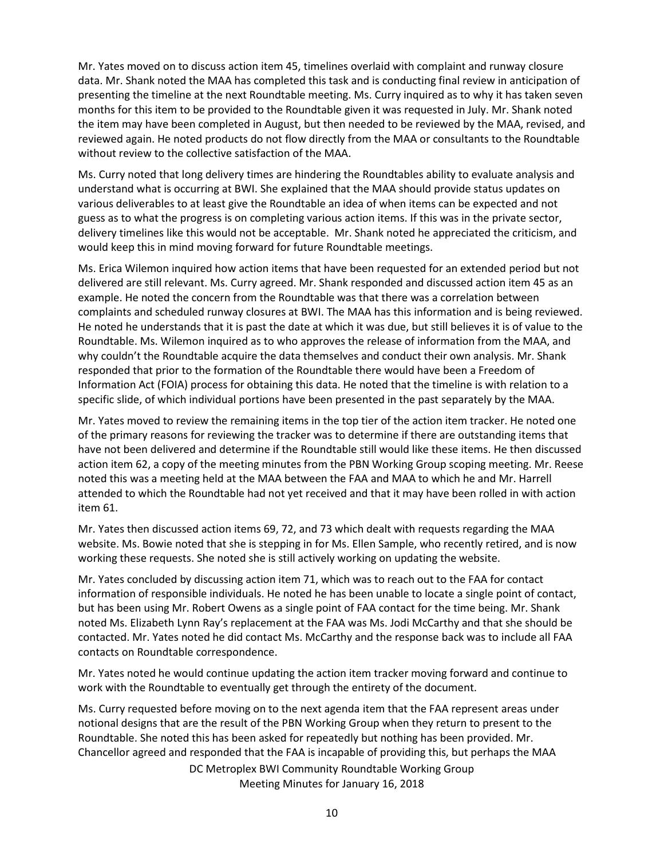Mr. Yates moved on to discuss action item 45, timelines overlaid with complaint and runway closure data. Mr. Shank noted the MAA has completed this task and is conducting final review in anticipation of presenting the timeline at the next Roundtable meeting. Ms. Curry inquired as to why it has taken seven months for this item to be provided to the Roundtable given it was requested in July. Mr. Shank noted the item may have been completed in August, but then needed to be reviewed by the MAA, revised, and reviewed again. He noted products do not flow directly from the MAA or consultants to the Roundtable without review to the collective satisfaction of the MAA.

Ms. Curry noted that long delivery times are hindering the Roundtables ability to evaluate analysis and understand what is occurring at BWI. She explained that the MAA should provide status updates on various deliverables to at least give the Roundtable an idea of when items can be expected and not guess as to what the progress is on completing various action items. If this was in the private sector, delivery timelines like this would not be acceptable. Mr. Shank noted he appreciated the criticism, and would keep this in mind moving forward for future Roundtable meetings.

Ms. Erica Wilemon inquired how action items that have been requested for an extended period but not delivered are still relevant. Ms. Curry agreed. Mr. Shank responded and discussed action item 45 as an example. He noted the concern from the Roundtable was that there was a correlation between complaints and scheduled runway closures at BWI. The MAA has this information and is being reviewed. He noted he understands that it is past the date at which it was due, but still believes it is of value to the Roundtable. Ms. Wilemon inquired as to who approves the release of information from the MAA, and why couldn't the Roundtable acquire the data themselves and conduct their own analysis. Mr. Shank responded that prior to the formation of the Roundtable there would have been a Freedom of Information Act (FOIA) process for obtaining this data. He noted that the timeline is with relation to a specific slide, of which individual portions have been presented in the past separately by the MAA.

Mr. Yates moved to review the remaining items in the top tier of the action item tracker. He noted one of the primary reasons for reviewing the tracker was to determine if there are outstanding items that have not been delivered and determine if the Roundtable still would like these items. He then discussed action item 62, a copy of the meeting minutes from the PBN Working Group scoping meeting. Mr. Reese noted this was a meeting held at the MAA between the FAA and MAA to which he and Mr. Harrell attended to which the Roundtable had not yet received and that it may have been rolled in with action item 61.

Mr. Yates then discussed action items 69, 72, and 73 which dealt with requests regarding the MAA website. Ms. Bowie noted that she is stepping in for Ms. Ellen Sample, who recently retired, and is now working these requests. She noted she is still actively working on updating the website.

Mr. Yates concluded by discussing action item 71, which was to reach out to the FAA for contact information of responsible individuals. He noted he has been unable to locate a single point of contact, but has been using Mr. Robert Owens as a single point of FAA contact for the time being. Mr. Shank noted Ms. Elizabeth Lynn Ray's replacement at the FAA was Ms. Jodi McCarthy and that she should be contacted. Mr. Yates noted he did contact Ms. McCarthy and the response back was to include all FAA contacts on Roundtable correspondence.

Mr. Yates noted he would continue updating the action item tracker moving forward and continue to work with the Roundtable to eventually get through the entirety of the document.

DC Metroplex BWI Community Roundtable Working Group Ms. Curry requested before moving on to the next agenda item that the FAA represent areas under notional designs that are the result of the PBN Working Group when they return to present to the Roundtable. She noted this has been asked for repeatedly but nothing has been provided. Mr. Chancellor agreed and responded that the FAA is incapable of providing this, but perhaps the MAA

Meeting Minutes for January 16, 2018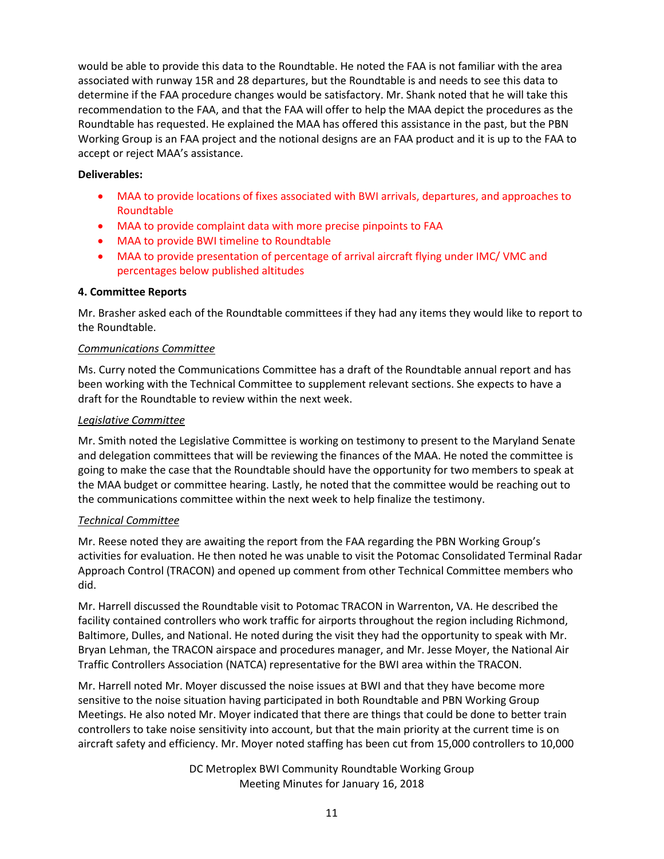would be able to provide this data to the Roundtable. He noted the FAA is not familiar with the area associated with runway 15R and 28 departures, but the Roundtable is and needs to see this data to determine if the FAA procedure changes would be satisfactory. Mr. Shank noted that he will take this recommendation to the FAA, and that the FAA will offer to help the MAA depict the procedures as the Roundtable has requested. He explained the MAA has offered this assistance in the past, but the PBN Working Group is an FAA project and the notional designs are an FAA product and it is up to the FAA to accept or reject MAA's assistance.

# **Deliverables:**

- MAA to provide locations of fixes associated with BWI arrivals, departures, and approaches to Roundtable
- MAA to provide complaint data with more precise pinpoints to FAA
- MAA to provide BWI timeline to Roundtable
- MAA to provide presentation of percentage of arrival aircraft flying under IMC/ VMC and percentages below published altitudes

# **4. Committee Reports**

Mr. Brasher asked each of the Roundtable committees if they had any items they would like to report to the Roundtable.

# *Communications Committee*

Ms. Curry noted the Communications Committee has a draft of the Roundtable annual report and has been working with the Technical Committee to supplement relevant sections. She expects to have a draft for the Roundtable to review within the next week.

### *Legislative Committee*

Mr. Smith noted the Legislative Committee is working on testimony to present to the Maryland Senate and delegation committees that will be reviewing the finances of the MAA. He noted the committee is going to make the case that the Roundtable should have the opportunity for two members to speak at the MAA budget or committee hearing. Lastly, he noted that the committee would be reaching out to the communications committee within the next week to help finalize the testimony.

# *Technical Committee*

Mr. Reese noted they are awaiting the report from the FAA regarding the PBN Working Group's activities for evaluation. He then noted he was unable to visit the Potomac Consolidated Terminal Radar Approach Control (TRACON) and opened up comment from other Technical Committee members who did.

Mr. Harrell discussed the Roundtable visit to Potomac TRACON in Warrenton, VA. He described the facility contained controllers who work traffic for airports throughout the region including Richmond, Baltimore, Dulles, and National. He noted during the visit they had the opportunity to speak with Mr. Bryan Lehman, the TRACON airspace and procedures manager, and Mr. Jesse Moyer, the National Air Traffic Controllers Association (NATCA) representative for the BWI area within the TRACON.

Mr. Harrell noted Mr. Moyer discussed the noise issues at BWI and that they have become more sensitive to the noise situation having participated in both Roundtable and PBN Working Group Meetings. He also noted Mr. Moyer indicated that there are things that could be done to better train controllers to take noise sensitivity into account, but that the main priority at the current time is on aircraft safety and efficiency. Mr. Moyer noted staffing has been cut from 15,000 controllers to 10,000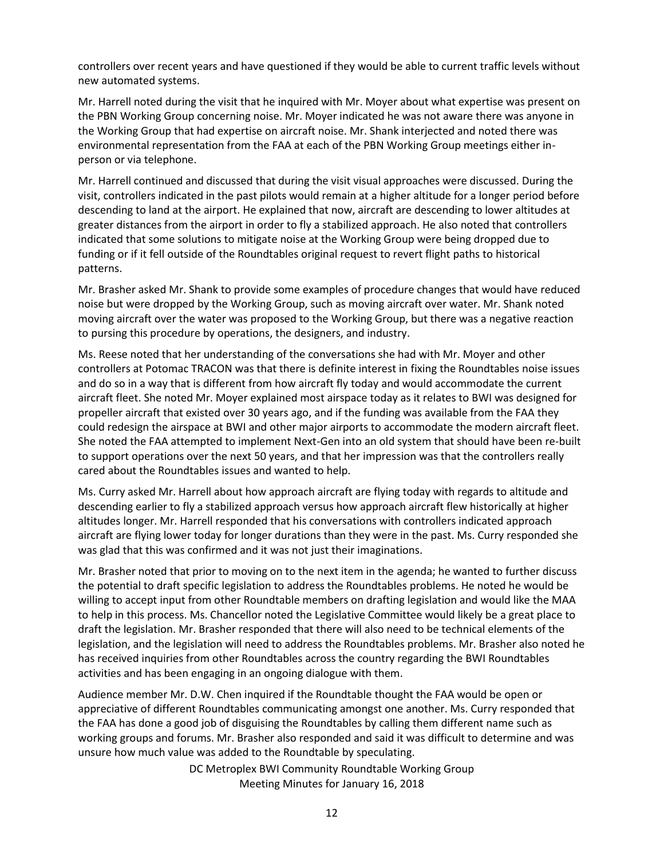controllers over recent years and have questioned if they would be able to current traffic levels without new automated systems.

Mr. Harrell noted during the visit that he inquired with Mr. Moyer about what expertise was present on the PBN Working Group concerning noise. Mr. Moyer indicated he was not aware there was anyone in the Working Group that had expertise on aircraft noise. Mr. Shank interjected and noted there was environmental representation from the FAA at each of the PBN Working Group meetings either inperson or via telephone.

Mr. Harrell continued and discussed that during the visit visual approaches were discussed. During the visit, controllers indicated in the past pilots would remain at a higher altitude for a longer period before descending to land at the airport. He explained that now, aircraft are descending to lower altitudes at greater distances from the airport in order to fly a stabilized approach. He also noted that controllers indicated that some solutions to mitigate noise at the Working Group were being dropped due to funding or if it fell outside of the Roundtables original request to revert flight paths to historical patterns.

Mr. Brasher asked Mr. Shank to provide some examples of procedure changes that would have reduced noise but were dropped by the Working Group, such as moving aircraft over water. Mr. Shank noted moving aircraft over the water was proposed to the Working Group, but there was a negative reaction to pursing this procedure by operations, the designers, and industry.

Ms. Reese noted that her understanding of the conversations she had with Mr. Moyer and other controllers at Potomac TRACON was that there is definite interest in fixing the Roundtables noise issues and do so in a way that is different from how aircraft fly today and would accommodate the current aircraft fleet. She noted Mr. Moyer explained most airspace today as it relates to BWI was designed for propeller aircraft that existed over 30 years ago, and if the funding was available from the FAA they could redesign the airspace at BWI and other major airports to accommodate the modern aircraft fleet. She noted the FAA attempted to implement Next-Gen into an old system that should have been re-built to support operations over the next 50 years, and that her impression was that the controllers really cared about the Roundtables issues and wanted to help.

Ms. Curry asked Mr. Harrell about how approach aircraft are flying today with regards to altitude and descending earlier to fly a stabilized approach versus how approach aircraft flew historically at higher altitudes longer. Mr. Harrell responded that his conversations with controllers indicated approach aircraft are flying lower today for longer durations than they were in the past. Ms. Curry responded she was glad that this was confirmed and it was not just their imaginations.

Mr. Brasher noted that prior to moving on to the next item in the agenda; he wanted to further discuss the potential to draft specific legislation to address the Roundtables problems. He noted he would be willing to accept input from other Roundtable members on drafting legislation and would like the MAA to help in this process. Ms. Chancellor noted the Legislative Committee would likely be a great place to draft the legislation. Mr. Brasher responded that there will also need to be technical elements of the legislation, and the legislation will need to address the Roundtables problems. Mr. Brasher also noted he has received inquiries from other Roundtables across the country regarding the BWI Roundtables activities and has been engaging in an ongoing dialogue with them.

Audience member Mr. D.W. Chen inquired if the Roundtable thought the FAA would be open or appreciative of different Roundtables communicating amongst one another. Ms. Curry responded that the FAA has done a good job of disguising the Roundtables by calling them different name such as working groups and forums. Mr. Brasher also responded and said it was difficult to determine and was unsure how much value was added to the Roundtable by speculating.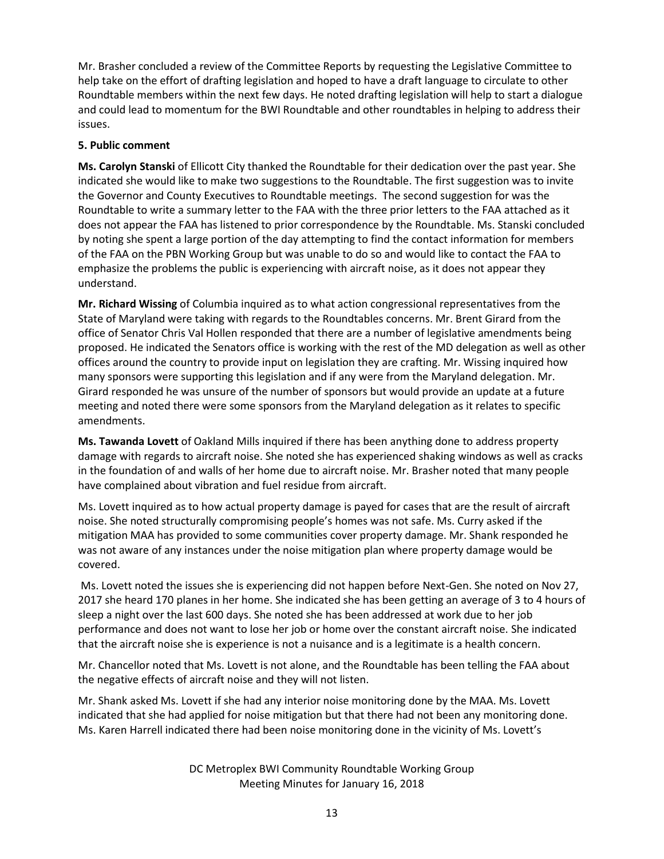Mr. Brasher concluded a review of the Committee Reports by requesting the Legislative Committee to help take on the effort of drafting legislation and hoped to have a draft language to circulate to other Roundtable members within the next few days. He noted drafting legislation will help to start a dialogue and could lead to momentum for the BWI Roundtable and other roundtables in helping to address their issues.

# **5. Public comment**

**Ms. Carolyn Stanski** of Ellicott City thanked the Roundtable for their dedication over the past year. She indicated she would like to make two suggestions to the Roundtable. The first suggestion was to invite the Governor and County Executives to Roundtable meetings. The second suggestion for was the Roundtable to write a summary letter to the FAA with the three prior letters to the FAA attached as it does not appear the FAA has listened to prior correspondence by the Roundtable. Ms. Stanski concluded by noting she spent a large portion of the day attempting to find the contact information for members of the FAA on the PBN Working Group but was unable to do so and would like to contact the FAA to emphasize the problems the public is experiencing with aircraft noise, as it does not appear they understand.

**Mr. Richard Wissing** of Columbia inquired as to what action congressional representatives from the State of Maryland were taking with regards to the Roundtables concerns. Mr. Brent Girard from the office of Senator Chris Val Hollen responded that there are a number of legislative amendments being proposed. He indicated the Senators office is working with the rest of the MD delegation as well as other offices around the country to provide input on legislation they are crafting. Mr. Wissing inquired how many sponsors were supporting this legislation and if any were from the Maryland delegation. Mr. Girard responded he was unsure of the number of sponsors but would provide an update at a future meeting and noted there were some sponsors from the Maryland delegation as it relates to specific amendments.

**Ms. Tawanda Lovett** of Oakland Mills inquired if there has been anything done to address property damage with regards to aircraft noise. She noted she has experienced shaking windows as well as cracks in the foundation of and walls of her home due to aircraft noise. Mr. Brasher noted that many people have complained about vibration and fuel residue from aircraft.

Ms. Lovett inquired as to how actual property damage is payed for cases that are the result of aircraft noise. She noted structurally compromising people's homes was not safe. Ms. Curry asked if the mitigation MAA has provided to some communities cover property damage. Mr. Shank responded he was not aware of any instances under the noise mitigation plan where property damage would be covered.

Ms. Lovett noted the issues she is experiencing did not happen before Next-Gen. She noted on Nov 27, 2017 she heard 170 planes in her home. She indicated she has been getting an average of 3 to 4 hours of sleep a night over the last 600 days. She noted she has been addressed at work due to her job performance and does not want to lose her job or home over the constant aircraft noise. She indicated that the aircraft noise she is experience is not a nuisance and is a legitimate is a health concern.

Mr. Chancellor noted that Ms. Lovett is not alone, and the Roundtable has been telling the FAA about the negative effects of aircraft noise and they will not listen.

Mr. Shank asked Ms. Lovett if she had any interior noise monitoring done by the MAA. Ms. Lovett indicated that she had applied for noise mitigation but that there had not been any monitoring done. Ms. Karen Harrell indicated there had been noise monitoring done in the vicinity of Ms. Lovett's